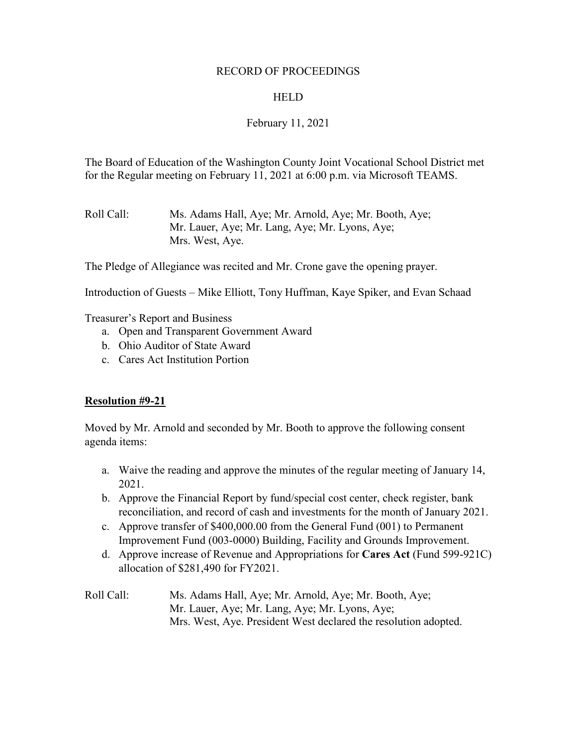### RECORD OF PROCEEDINGS

### **HELD**

## February 11, 2021

The Board of Education of the Washington County Joint Vocational School District met for the Regular meeting on February 11, 2021 at 6:00 p.m. via Microsoft TEAMS.

Roll Call: Ms. Adams Hall, Aye; Mr. Arnold, Aye; Mr. Booth, Aye; Mr. Lauer, Aye; Mr. Lang, Aye; Mr. Lyons, Aye; Mrs. West, Aye.

The Pledge of Allegiance was recited and Mr. Crone gave the opening prayer.

Introduction of Guests – Mike Elliott, Tony Huffman, Kaye Spiker, and Evan Schaad

Treasurer's Report and Business

- a. Open and Transparent Government Award
- b. Ohio Auditor of State Award
- c. Cares Act Institution Portion

### **Resolution #9-21**

Moved by Mr. Arnold and seconded by Mr. Booth to approve the following consent agenda items:

- a. Waive the reading and approve the minutes of the regular meeting of January 14, 2021.
- b. Approve the Financial Report by fund/special cost center, check register, bank reconciliation, and record of cash and investments for the month of January 2021.
- c. Approve transfer of \$400,000.00 from the General Fund (001) to Permanent Improvement Fund (003-0000) Building, Facility and Grounds Improvement.
- d. Approve increase of Revenue and Appropriations for **Cares Act** (Fund 599-921C) allocation of \$281,490 for FY2021.

Roll Call: Ms. Adams Hall, Aye; Mr. Arnold, Aye; Mr. Booth, Aye; Mr. Lauer, Aye; Mr. Lang, Aye; Mr. Lyons, Aye; Mrs. West, Aye. President West declared the resolution adopted.